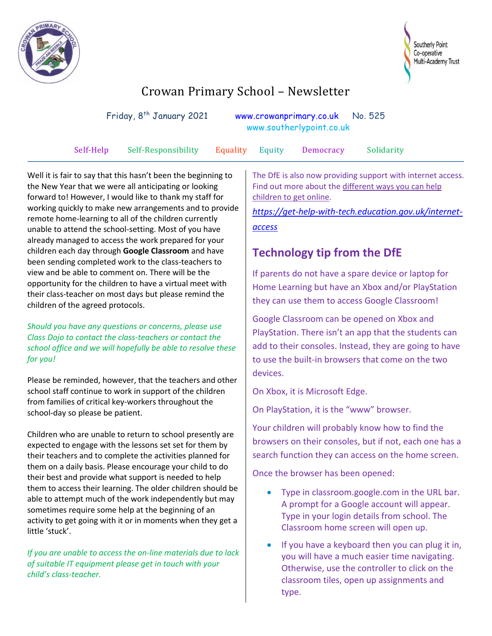



# Crowan Primary School – Newsletter

| Friday, 8 <sup>th</sup> January 2021 |                     | www.southerlypoint.co.uk | www.crowanprimary.co.uk No. 525 |           |            |
|--------------------------------------|---------------------|--------------------------|---------------------------------|-----------|------------|
| Self-Help                            | Self-Responsibility | <b>Equality</b> Equity   |                                 | Democracy | Solidarity |

Well it is fair to say that this hasn't been the beginning to the New Year that we were all anticipating or looking forward to! However, I would like to thank my staff for working quickly to make new arrangements and to provide remote home-learning to all of the children currently unable to attend the school-setting. Most of you have already managed to access the work prepared for your children each day through **Google Classroom** and have been sending completed work to the class-teachers to view and be able to comment on. There will be the opportunity for the children to have a virtual meet with their class-teacher on most days but please remind the children of the agreed protocols.

*Should you have any questions or concerns, please use Class Dojo to contact the class-teachers or contact the school office and we will hopefully be able to resolve these for you!*

Please be reminded, however, that the teachers and other school staff continue to work in support of the children from families of critical key-workers throughout the school-day so please be patient.

Children who are unable to return to school presently are expected to engage with the lessons set set for them by their teachers and to complete the activities planned for them on a daily basis. Please encourage your child to do their best and provide what support is needed to help them to access their learning. The older children should be able to attempt much of the work independently but may sometimes require some help at the beginning of an activity to get going with it or in moments when they get a little 'stuck'.

*If you are unable to access the on-line materials due to lack of suitable IT equipment please get in touch with your child's class-teacher.*

The DfE is also now providing support with internet access. Find out more about the [different ways you can help](https://get-help-with-tech.education.gov.uk/internet-access)  [children to get online.](https://get-help-with-tech.education.gov.uk/internet-access)

*[https://get-help-with-tech.education.gov.uk/internet](https://get-help-with-tech.education.gov.uk/internet-access)[access](https://get-help-with-tech.education.gov.uk/internet-access)*

## **Technology tip from the DfE**

If parents do not have a spare device or laptop for Home Learning but have an Xbox and/or PlayStation they can use them to access Google Classroom!

Google Classroom can be opened on Xbox and PlayStation. There isn't an app that the students can add to their consoles. Instead, they are going to have to use the built-in browsers that come on the two devices.

On Xbox, it is Microsoft Edge.

On PlayStation, it is the "www" browser.

Your children will probably know how to find the browsers on their consoles, but if not, each one has a search function they can access on the home screen.

Once the browser has been opened:

- Type in classroom.google.com in the URL bar. A prompt for a Google account will appear. Type in your login details from school. The Classroom home screen will open up.
- If you have a keyboard then you can plug it in, you will have a much easier time navigating. Otherwise, use the controller to click on the classroom tiles, open up assignments and type.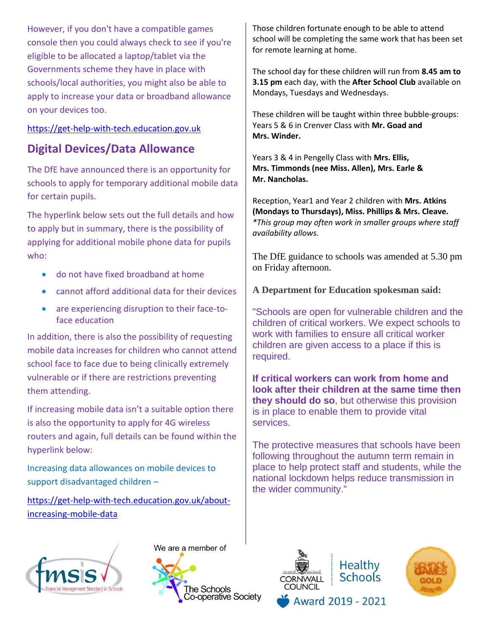However, if you don't have a compatible games console then you could always check to see if you're eligible to be allocated a laptop/tablet via the Governments scheme they have in place with schools/local authorities, you might also be able to apply to increase your data or broadband allowance on your devices too.

#### [https://get-help-with-tech.education.gov.uk](https://eur03.safelinks.protection.outlook.com/?url=https%3A%2F%2Fget-help-with-tech.education.gov.uk%2F&data=04%7C01%7Cemma.hobbs%40cornwall.gov.uk%7C0e096ba529fe473bfaf908d8b2f18103%7Cefaa16aad1de4d58ba2e2833fdfdd29f%7C0%7C0%7C637456097605731369%7CUnknown%7CTWFpbGZsb3d8eyJWIjoiMC4wLjAwMDAiLCJQIjoiV2luMzIiLCJBTiI6Ik1haWwiLCJXVCI6Mn0%3D%7C1000&sdata=KBz0rNXCVNO9NL9EZXHHgFh5%2Bgi9uwF8iFz9mlr2Z6M%3D&reserved=0)

## **Digital Devices/Data Allowance**

The DfE have announced there is an opportunity for schools to apply for temporary additional mobile data for certain pupils.

The hyperlink below sets out the full details and how to apply but in summary, there is the possibility of applying for additional mobile phone data for pupils who:

- do not have fixed broadband at home
- cannot afford additional data for their devices
- are experiencing disruption to their face-toface education

In addition, there is also the possibility of requesting mobile data increases for children who cannot attend school face to face due to being clinically extremely vulnerable or if there are restrictions preventing them attending.

If increasing mobile data isn't a suitable option there is also the opportunity to apply for 4G wireless routers and again, full details can be found within the hyperlink below:

Increasing data allowances on mobile devices to support disadvantaged children –

[https://get-help-with-tech.education.gov.uk/about](https://get-help-with-tech.education.gov.uk/about-increasing-mobile-data)[increasing-mobile-data](https://get-help-with-tech.education.gov.uk/about-increasing-mobile-data)



We are a member of



Those children fortunate enough to be able to attend school will be completing the same work that has been set for remote learning at home.

The school day for these children will run from **8.45 am to 3.15 pm** each day, with the **After School Club** available on Mondays, Tuesdays and Wednesdays.

These children will be taught within three bubble-groups: Years 5 & 6 in Crenver Class with **Mr. Goad and Mrs. Winder.**

Years 3 & 4 in Pengelly Class with **Mrs. Ellis, Mrs. Timmonds (nee Miss. Allen), Mrs. Earle & Mr. Nancholas.**

Reception, Year1 and Year 2 children with **Mrs. Atkins (Mondays to Thursdays), Miss. Phillips & Mrs. Cleave.** *\*This group may often work in smaller groups where staff availability allows.*

The DfE guidance to schools was amended at 5.30 pm on Friday afternoon.

**A Department for Education spokesman said:**

"Schools are open for vulnerable children and the children of critical workers. We expect schools to work with families to ensure all critical worker children are given access to a place if this is required.

**If critical workers can work from home and look after their children at the same time then they should do so**, but otherwise this provision is in place to enable them to provide vital services.

The protective measures that schools have been following throughout the autumn term remain in place to help protect staff and students, while the national lockdown helps reduce transmission in the wider community."



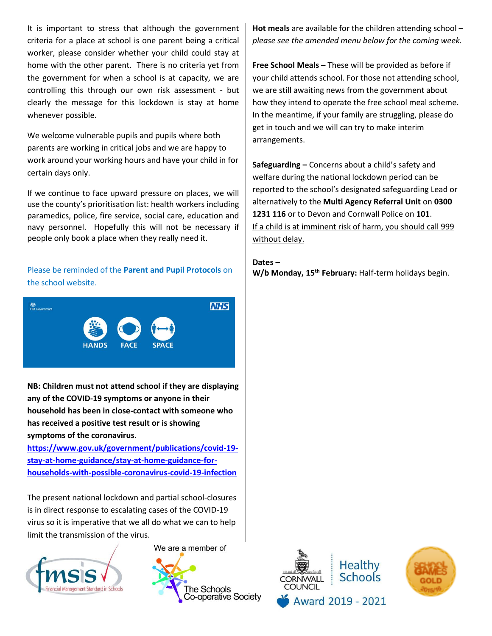It is important to stress that although the government criteria for a place at school is one parent being a critical worker, please consider whether your child could stay at home with the other parent. There is no criteria yet from the government for when a school is at capacity, we are controlling this through our own risk assessment - but clearly the message for this lockdown is stay at home whenever possible.

We welcome vulnerable pupils and pupils where both parents are working in critical jobs and we are happy to work around your working hours and have your child in for certain days only.

If we continue to face upward pressure on places, we will use the county's prioritisation list: health workers including paramedics, police, fire service, social care, education and navy personnel. Hopefully this will not be necessary if people only book a place when they really need it.

Please be reminded of the **Parent and Pupil Protocols** on the school website.



**NB: Children must not attend school if they are displaying any of the COVID-19 symptoms or anyone in their household has been in close-contact with someone who has received a positive test result or is showing symptoms of the coronavirus.** 

**[https://www.gov.uk/government/publications/covid-19](https://www.gov.uk/government/publications/covid-19-stay-at-home-guidance/stay-at-home-guidance-for-households-with-possible-coronavirus-covid-19-infection) [stay-at-home-guidance/stay-at-home-guidance-for](https://www.gov.uk/government/publications/covid-19-stay-at-home-guidance/stay-at-home-guidance-for-households-with-possible-coronavirus-covid-19-infection)[households-with-possible-coronavirus-covid-19-infection](https://www.gov.uk/government/publications/covid-19-stay-at-home-guidance/stay-at-home-guidance-for-households-with-possible-coronavirus-covid-19-infection)**

The present national lockdown and partial school-closures is in direct response to escalating cases of the COVID-19 virus so it is imperative that we all do what we can to help limit the transmission of the virus.



We are a member of



**Hot meals** are available for the children attending school – *please see the amended menu below for the coming week.*

**Free School Meals –** These will be provided as before if your child attends school. For those not attending school, we are still awaiting news from the government about how they intend to operate the free school meal scheme. In the meantime, if your family are struggling, please do get in touch and we will can try to make interim arrangements.

**Safeguarding –** Concerns about a child's safety and welfare during the national lockdown period can be reported to the school's designated safeguarding Lead or alternatively to the **Multi Agency Referral Unit** on **0300 1231 116** or to Devon and Cornwall Police on **101**. If a child is at imminent risk of harm, you should call 999 without delay.

**Dates – W/b Monday, 15th February:** Half-term holidays begin.